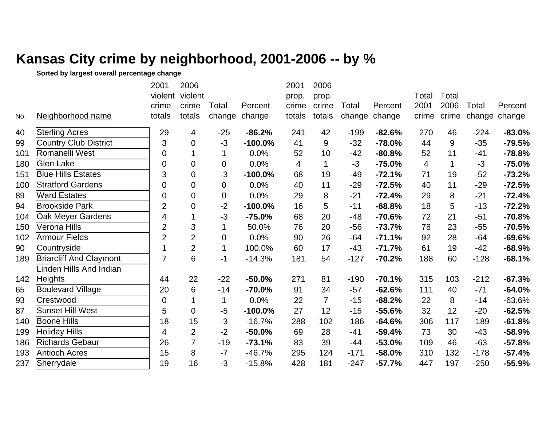## **Kansas City crime by neighborhood, 2001-2006 -- by %**

**Sorted by largest overall percentage change**

|     |                                | 2001           | 2006           |                  |            | 2001   | 2006           |        |          |       |             |        |               |
|-----|--------------------------------|----------------|----------------|------------------|------------|--------|----------------|--------|----------|-------|-------------|--------|---------------|
|     |                                | violent        | violent        |                  |            | prop.  | prop.          |        |          | Total | Total       |        |               |
|     |                                | crime          | crime          | Total            | Percent    | crime  | crime          | Total  | Percent  | 2001  | 2006        | Total  | Percent       |
| No. | Neighborhood name              | totals         | totals         | change           | change     | totals | totals         | change | change   | crime | crime       |        | change change |
| 40  | <b>Sterling Acres</b>          | 29             | 4              | $-25$            | $-86.2%$   | 241    | 42             | $-199$ | $-82.6%$ | 270   | 46          | $-224$ | $-83.0%$      |
| 99  | <b>Country Club District</b>   | 3              | $\overline{0}$ | $-3$             | $-100.0%$  | 41     | 9              | $-32$  | $-78.0%$ | 44    | 9           | $-35$  | $-79.5%$      |
| 101 | Romanelli West                 | $\mathbf 0$    |                | 1                | 0.0%       | 52     | 10             | $-42$  | $-80.8%$ | 52    | 11          | $-41$  | $-78.8%$      |
| 180 | <b>Glen Lake</b>               | $\mathbf 0$    | $\mathbf 0$    | $\boldsymbol{0}$ | 0.0%       | 4      | 1              | $-3$   | $-75.0%$ | 4     | $\mathbf 1$ | $-3$   | $-75.0%$      |
| 151 | <b>Blue Hills Estates</b>      | 3              | 0              | $-3$             | $-100.0\%$ | 68     | 19             | $-49$  | $-72.1%$ | 71    | 19          | $-52$  | $-73.2%$      |
| 100 | <b>Stratford Gardens</b>       | $\overline{0}$ | 0              | $\mathbf 0$      | 0.0%       | 40     | 11             | $-29$  | $-72.5%$ | 40    | 11          | $-29$  | $-72.5%$      |
| 89  | <b>Ward Estates</b>            | 0              | $\mathbf 0$    | $\mathbf 0$      | 0.0%       | 29     | 8              | $-21$  | $-72.4%$ | 29    | 8           | $-21$  | $-72.4%$      |
| 94  | <b>Brookside Park</b>          | $\overline{2}$ | $\overline{0}$ | $-2$             | $-100.0%$  | 16     | 5              | $-11$  | $-68.8%$ | 18    | 5           | $-13$  | $-72.2%$      |
| 104 | Oak Meyer Gardens              | $\overline{4}$ | 1              | $-3$             | $-75.0%$   | 68     | 20             | $-48$  | $-70.6%$ | 72    | 21          | $-51$  | $-70.8%$      |
| 150 | Verona Hills                   | $\overline{2}$ | 3              | $\mathbf 1$      | 50.0%      | 76     | 20             | $-56$  | $-73.7%$ | 78    | 23          | $-55$  | $-70.5%$      |
| 102 | <b>Armour Fields</b>           | $\overline{2}$ | $\overline{2}$ | $\pmb{0}$        | 0.0%       | 90     | 26             | $-64$  | $-71.1%$ | 92    | 28          | $-64$  | $-69.6%$      |
| 90  | Countryside                    |                | $\overline{2}$ | $\mathbf{1}$     | 100.0%     | 60     | 17             | $-43$  | $-71.7%$ | 61    | 19          | $-42$  | $-68.9%$      |
| 189 | <b>Briarcliff And Claymont</b> | $\overline{7}$ | 6              | -1               | $-14.3%$   | 181    | 54             | $-127$ | $-70.2%$ | 188   | 60          | $-128$ | $-68.1%$      |
|     | Linden Hills And Indian        |                |                |                  |            |        |                |        |          |       |             |        |               |
| 142 | <b>Heights</b>                 | 44             | 22             | $-22$            | $-50.0%$   | 271    | 81             | $-190$ | $-70.1%$ | 315   | 103         | $-212$ | $-67.3%$      |
| 65  | <b>Boulevard Village</b>       | 20             | 6              | $-14$            | $-70.0%$   | 91     | 34             | $-57$  | $-62.6%$ | 111   | 40          | $-71$  | $-64.0%$      |
| 93  | Crestwood                      | $\mathbf 0$    |                | $\mathbf 1$      | 0.0%       | 22     | $\overline{7}$ | $-15$  | $-68.2%$ | 22    | 8           | $-14$  | $-63.6%$      |
| 87  | <b>Sunset Hill West</b>        | 5              | $\mathbf 0$    | $-5$             | $-100.0%$  | 27     | 12             | $-15$  | $-55.6%$ | 32    | 12          | $-20$  | $-62.5%$      |
| 140 | <b>Boone Hills</b>             | 18             | 15             | $-3$             | $-16.7%$   | 288    | 102            | $-186$ | $-64.6%$ | 306   | 117         | $-189$ | $-61.8%$      |
| 199 | <b>Holiday Hills</b>           | $\overline{4}$ | $\overline{2}$ | $-2$             | $-50.0%$   | 69     | 28             | $-41$  | $-59.4%$ | 73    | 30          | $-43$  | $-58.9%$      |
| 186 | <b>Richards Gebaur</b>         | 26             | $\overline{7}$ | $-19$            | $-73.1%$   | 83     | 39             | -44    | $-53.0%$ | 109   | 46          | $-63$  | $-57.8%$      |
| 193 | <b>Antioch Acres</b>           | 15             | 8              | $-7$             | $-46.7%$   | 295    | 124            | $-171$ | $-58.0%$ | 310   | 132         | $-178$ | $-57.4%$      |
| 237 | Sherrydale                     | 19             | 16             | $-3$             | $-15.8%$   | 428    | 181            | $-247$ | $-57.7%$ | 447   | 197         | $-250$ | $-55.9%$      |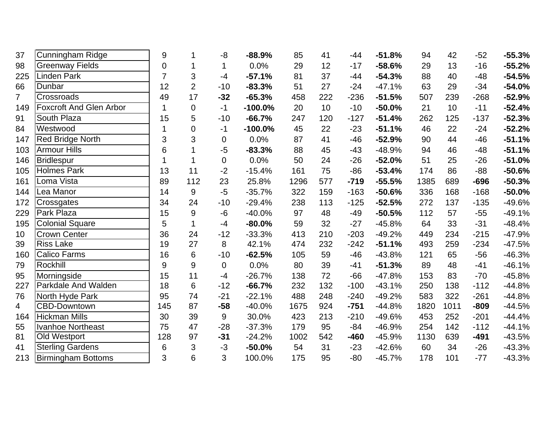| 37             | Cunningham Ridge               | 9              |                | -8             | $-88.9%$  | 85   | 41  | $-44$  | $-51.8%$ | 94   | 42   | $-52$  | $-55.3%$ |
|----------------|--------------------------------|----------------|----------------|----------------|-----------|------|-----|--------|----------|------|------|--------|----------|
| 98             | Greenway Fields                | $\overline{0}$ | 1              | 1              | 0.0%      | 29   | 12  | $-17$  | $-58.6%$ | 29   | 13   | $-16$  | $-55.2%$ |
| 225            | Linden Park                    | $\overline{7}$ | 3              | $-4$           | $-57.1%$  | 81   | 37  | $-44$  | $-54.3%$ | 88   | 40   | $-48$  | $-54.5%$ |
| 66             | Dunbar                         | 12             | $\overline{2}$ | $-10$          | $-83.3%$  | 51   | 27  | $-24$  | $-47.1%$ | 63   | 29   | $-34$  | $-54.0%$ |
| $\overline{7}$ | Crossroads                     | 49             | 17             | $-32$          | $-65.3%$  | 458  | 222 | $-236$ | $-51.5%$ | 507  | 239  | $-268$ | $-52.9%$ |
| 149            | <b>Foxcroft And Glen Arbor</b> | $\mathbf{1}$   | $\mathbf 0$    | $-1$           | $-100.0%$ | 20   | 10  | $-10$  | $-50.0%$ | 21   | 10   | $-11$  | $-52.4%$ |
| 91             | South Plaza                    | 15             | 5              | $-10$          | $-66.7%$  | 247  | 120 | $-127$ | $-51.4%$ | 262  | 125  | $-137$ | $-52.3%$ |
| 84             | Westwood                       | 1              | $\mathbf 0$    | $-1$           | $-100.0%$ | 45   | 22  | $-23$  | $-51.1%$ | 46   | 22   | $-24$  | $-52.2%$ |
| 147            | <b>Red Bridge North</b>        | 3              | 3              | $\mathbf 0$    | 0.0%      | 87   | 41  | $-46$  | $-52.9%$ | 90   | 44   | $-46$  | $-51.1%$ |
| 103            | <b>Armour Hills</b>            | 6              |                | $-5$           | $-83.3%$  | 88   | 45  | $-43$  | $-48.9%$ | 94   | 46   | $-48$  | $-51.1%$ |
| 146            | <b>Bridlespur</b>              | 1              | 1              | $\mathbf 0$    | 0.0%      | 50   | 24  | $-26$  | $-52.0%$ | 51   | 25   | $-26$  | $-51.0%$ |
| 105            | <b>Holmes Park</b>             | 13             | 11             | $-2$           | $-15.4%$  | 161  | 75  | $-86$  | $-53.4%$ | 174  | 86   | $-88$  | $-50.6%$ |
| 161            | Loma Vista                     | 89             | 112            | 23             | 25.8%     | 1296 | 577 | $-719$ | $-55.5%$ | 1385 | 689  | $-696$ | $-50.3%$ |
| 144            | Lea Manor                      | 14             | $9\,$          | $-5$           | $-35.7%$  | 322  | 159 | $-163$ | $-50.6%$ | 336  | 168  | $-168$ | $-50.0%$ |
| 172            | Crossgates                     | 34             | 24             | $-10$          | $-29.4%$  | 238  | 113 | $-125$ | $-52.5%$ | 272  | 137  | $-135$ | $-49.6%$ |
| 229            | Park Plaza                     | 15             | 9              | -6             | $-40.0%$  | 97   | 48  | $-49$  | $-50.5%$ | 112  | 57   | $-55$  | $-49.1%$ |
| 195            | <b>Colonial Square</b>         | 5              | $\mathbf{1}$   | $-4$           | $-80.0%$  | 59   | 32  | $-27$  | $-45.8%$ | 64   | 33   | $-31$  | $-48.4%$ |
| 10             | <b>Crown Center</b>            | 36             | 24             | $-12$          | $-33.3%$  | 413  | 210 | $-203$ | $-49.2%$ | 449  | 234  | $-215$ | $-47.9%$ |
| 39             | <b>Riss Lake</b>               | 19             | 27             | 8              | 42.1%     | 474  | 232 | $-242$ | $-51.1%$ | 493  | 259  | $-234$ | $-47.5%$ |
| 160            | <b>Calico Farms</b>            | 16             | 6              | $-10$          | $-62.5%$  | 105  | 59  | $-46$  | $-43.8%$ | 121  | 65   | $-56$  | $-46.3%$ |
| 79             | Rockhill                       | 9              | 9              | $\overline{0}$ | 0.0%      | 80   | 39  | $-41$  | $-51.3%$ | 89   | 48   | $-41$  | $-46.1%$ |
| 95             | Morningside                    | 15             | 11             | $-4$           | $-26.7%$  | 138  | 72  | $-66$  | $-47.8%$ | 153  | 83   | $-70$  | $-45.8%$ |
| 227            | Parkdale And Walden            | 18             | 6              | $-12$          | $-66.7%$  | 232  | 132 | $-100$ | $-43.1%$ | 250  | 138  | $-112$ | $-44.8%$ |
| 76             | North Hyde Park                | 95             | 74             | $-21$          | $-22.1%$  | 488  | 248 | $-240$ | $-49.2%$ | 583  | 322  | $-261$ | $-44.8%$ |
| 4              | <b>CBD-Downtown</b>            | 145            | 87             | $-58$          | $-40.0%$  | 1675 | 924 | $-751$ | $-44.8%$ | 1820 | 1011 | $-809$ | $-44.5%$ |
| 164            | <b>Hickman Mills</b>           | 30             | 39             | 9              | 30.0%     | 423  | 213 | $-210$ | $-49.6%$ | 453  | 252  | $-201$ | $-44.4%$ |
| 55             | <b>Ivanhoe Northeast</b>       | 75             | 47             | $-28$          | $-37.3%$  | 179  | 95  | $-84$  | $-46.9%$ | 254  | 142  | $-112$ | $-44.1%$ |
| 81             | Old Westport                   | 128            | 97             | $-31$          | $-24.2%$  | 1002 | 542 | $-460$ | $-45.9%$ | 1130 | 639  | $-491$ | $-43.5%$ |
| 41             | <b>Sterling Gardens</b>        | $\,6$          | 3              | $-3$           | $-50.0%$  | 54   | 31  | $-23$  | $-42.6%$ | 60   | 34   | $-26$  | $-43.3%$ |
| 213            | <b>Birmingham Bottoms</b>      | 3              | 6              | 3              | 100.0%    | 175  | 95  | $-80$  | $-45.7%$ | 178  | 101  | $-77$  | $-43.3%$ |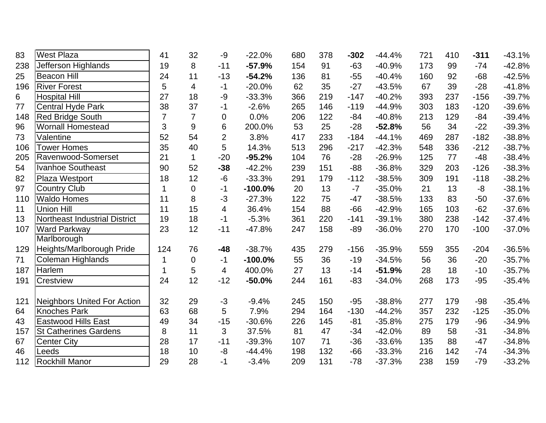| 83  | <b>West Plaza</b>                  | 41             | 32             | -9             | $-22.0%$  | 680 | 378 | $-302$ | $-44.4%$ | 721 | 410 | $-311$ | $-43.1%$ |
|-----|------------------------------------|----------------|----------------|----------------|-----------|-----|-----|--------|----------|-----|-----|--------|----------|
| 238 | Jefferson Highlands                | 19             | 8              | $-11$          | $-57.9%$  | 154 | 91  | $-63$  | $-40.9%$ | 173 | 99  | $-74$  | $-42.8%$ |
| 25  | <b>Beacon Hill</b>                 | 24             | 11             | $-13$          | $-54.2%$  | 136 | 81  | $-55$  | $-40.4%$ | 160 | 92  | $-68$  | $-42.5%$ |
| 196 | <b>River Forest</b>                | 5              | 4              | $-1$           | $-20.0%$  | 62  | 35  | $-27$  | $-43.5%$ | 67  | 39  | $-28$  | $-41.8%$ |
| 6   | <b>Hospital Hill</b>               | 27             | 18             | $-9$           | $-33.3%$  | 366 | 219 | $-147$ | $-40.2%$ | 393 | 237 | $-156$ | $-39.7%$ |
| 77  | <b>Central Hyde Park</b>           | 38             | 37             | $-1$           | $-2.6%$   | 265 | 146 | $-119$ | $-44.9%$ | 303 | 183 | $-120$ | $-39.6%$ |
| 148 | <b>Red Bridge South</b>            | $\overline{7}$ | $\overline{7}$ | $\mathbf 0$    | 0.0%      | 206 | 122 | $-84$  | $-40.8%$ | 213 | 129 | $-84$  | $-39.4%$ |
| 96  | <b>Wornall Homestead</b>           | 3              | 9              | 6              | 200.0%    | 53  | 25  | $-28$  | $-52.8%$ | 56  | 34  | $-22$  | $-39.3%$ |
| 73  | Valentine                          | 52             | 54             | $\overline{2}$ | 3.8%      | 417 | 233 | $-184$ | $-44.1%$ | 469 | 287 | $-182$ | $-38.8%$ |
| 106 | <b>Tower Homes</b>                 | 35             | 40             | 5              | 14.3%     | 513 | 296 | $-217$ | $-42.3%$ | 548 | 336 | $-212$ | $-38.7%$ |
| 205 | Ravenwood-Somerset                 | 21             | $\mathbf{1}$   | $-20$          | $-95.2%$  | 104 | 76  | $-28$  | $-26.9%$ | 125 | 77  | $-48$  | $-38.4%$ |
| 54  | <b>Ivanhoe Southeast</b>           | 90             | 52             | $-38$          | $-42.2%$  | 239 | 151 | $-88$  | $-36.8%$ | 329 | 203 | $-126$ | $-38.3%$ |
| 82  | Plaza Westport                     | 18             | 12             | $-6$           | $-33.3%$  | 291 | 179 | $-112$ | $-38.5%$ | 309 | 191 | $-118$ | $-38.2%$ |
| 97  | <b>Country Club</b>                | 1              | $\overline{0}$ | -1             | $-100.0%$ | 20  | 13  | $-7$   | $-35.0%$ | 21  | 13  | $-8$   | $-38.1%$ |
| 110 | <b>Waldo Homes</b>                 | 11             | 8              | $-3$           | $-27.3%$  | 122 | 75  | $-47$  | $-38.5%$ | 133 | 83  | $-50$  | $-37.6%$ |
| 11  | <b>Union Hill</b>                  | 11             | 15             | 4              | 36.4%     | 154 | 88  | $-66$  | $-42.9%$ | 165 | 103 | $-62$  | $-37.6%$ |
| 13  | Northeast Industrial District      | 19             | 18             | $-1$           | $-5.3%$   | 361 | 220 | $-141$ | $-39.1%$ | 380 | 238 | $-142$ | $-37.4%$ |
| 107 | <b>Ward Parkway</b>                | 23             | 12             | $-11$          | $-47.8%$  | 247 | 158 | $-89$  | $-36.0%$ | 270 | 170 | $-100$ | $-37.0%$ |
|     | Marlborough                        |                |                |                |           |     |     |        |          |     |     |        |          |
| 129 | Heights/Marlborough Pride          | 124            | 76             | $-48$          | $-38.7%$  | 435 | 279 | $-156$ | $-35.9%$ | 559 | 355 | $-204$ | $-36.5%$ |
| 71  | <b>Coleman Highlands</b>           | 1              | $\mathbf 0$    | $-1$           | $-100.0%$ | 55  | 36  | $-19$  | $-34.5%$ | 56  | 36  | $-20$  | $-35.7%$ |
| 187 | Harlem                             | $\mathbf 1$    | 5              | 4              | 400.0%    | 27  | 13  | $-14$  | $-51.9%$ | 28  | 18  | $-10$  | $-35.7%$ |
| 191 | Crestview                          | 24             | 12             | $-12$          | $-50.0%$  | 244 | 161 | $-83$  | $-34.0%$ | 268 | 173 | $-95$  | $-35.4%$ |
|     |                                    |                |                |                |           |     |     |        |          |     |     |        |          |
| 121 | <b>Neighbors United For Action</b> | 32             | 29             | $-3$           | $-9.4%$   | 245 | 150 | $-95$  | $-38.8%$ | 277 | 179 | $-98$  | $-35.4%$ |
| 64  | <b>Knoches Park</b>                | 63             | 68             | 5              | 7.9%      | 294 | 164 | $-130$ | $-44.2%$ | 357 | 232 | $-125$ | $-35.0%$ |
| 43  | <b>Eastwood Hills East</b>         | 49             | 34             | $-15$          | $-30.6%$  | 226 | 145 | $-81$  | $-35.8%$ | 275 | 179 | $-96$  | $-34.9%$ |
| 157 | <b>St Catherines Gardens</b>       | 8              | 11             | 3              | 37.5%     | 81  | 47  | $-34$  | $-42.0%$ | 89  | 58  | $-31$  | $-34.8%$ |
| 67  | <b>Center City</b>                 | 28             | 17             | $-11$          | $-39.3%$  | 107 | 71  | $-36$  | $-33.6%$ | 135 | 88  | $-47$  | $-34.8%$ |
| 46  | Leeds                              | 18             | 10             | $-8$           | $-44.4%$  | 198 | 132 | $-66$  | $-33.3%$ | 216 | 142 | $-74$  | $-34.3%$ |
| 112 | <b>Rockhill Manor</b>              | 29             | 28             | $-1$           | $-3.4%$   | 209 | 131 | $-78$  | $-37.3%$ | 238 | 159 | $-79$  | $-33.2%$ |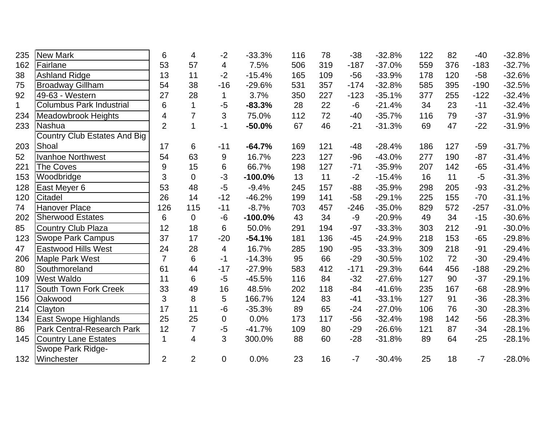| 235         | <b>New Mark</b>                     | 6              | 4              | $-2$           | $-33.3%$  | 116 | 78  | $-38$  | $-32.8%$ | 122 | 82  | $-40$  | $-32.8%$ |
|-------------|-------------------------------------|----------------|----------------|----------------|-----------|-----|-----|--------|----------|-----|-----|--------|----------|
| 162         | Fairlane                            | 53             | 57             | 4              | 7.5%      | 506 | 319 | $-187$ | $-37.0%$ | 559 | 376 | $-183$ | $-32.7%$ |
| 38          | <b>Ashland Ridge</b>                | 13             | 11             | $-2$           | $-15.4%$  | 165 | 109 | $-56$  | $-33.9%$ | 178 | 120 | $-58$  | $-32.6%$ |
| 75          | <b>Broadway Gillham</b>             | 54             | 38             | $-16$          | $-29.6%$  | 531 | 357 | $-174$ | $-32.8%$ | 585 | 395 | $-190$ | $-32.5%$ |
| 92          | 49-63 - Western                     | 27             | 28             | $\mathbf 1$    | 3.7%      | 350 | 227 | $-123$ | $-35.1%$ | 377 | 255 | $-122$ | $-32.4%$ |
| $\mathbf 1$ | <b>Columbus Park Industrial</b>     | 6              | $\mathbf{1}$   | $-5$           | $-83.3%$  | 28  | 22  | $-6$   | $-21.4%$ | 34  | 23  | $-11$  | $-32.4%$ |
| 234         | <b>Meadowbrook Heights</b>          | 4              | $\overline{7}$ | 3              | 75.0%     | 112 | 72  | $-40$  | $-35.7%$ | 116 | 79  | $-37$  | $-31.9%$ |
| 233         | Nashua                              | $\overline{2}$ | $\mathbf{1}$   | $-1$           | $-50.0%$  | 67  | 46  | $-21$  | $-31.3%$ | 69  | 47  | $-22$  | $-31.9%$ |
|             | <b>Country Club Estates And Big</b> |                |                |                |           |     |     |        |          |     |     |        |          |
| 203         | Shoal                               | 17             | 6              | $-11$          | $-64.7%$  | 169 | 121 | $-48$  | $-28.4%$ | 186 | 127 | $-59$  | $-31.7%$ |
| 52          | <b>Ivanhoe Northwest</b>            | 54             | 63             | 9              | 16.7%     | 223 | 127 | $-96$  | $-43.0%$ | 277 | 190 | $-87$  | $-31.4%$ |
| 221         | <b>The Coves</b>                    | 9              | 15             | 6              | 66.7%     | 198 | 127 | $-71$  | $-35.9%$ | 207 | 142 | $-65$  | $-31.4%$ |
| 153         | Woodbridge                          | 3              | $\Omega$       | $-3$           | $-100.0%$ | 13  | 11  | $-2$   | $-15.4%$ | 16  | 11  | $-5$   | $-31.3%$ |
| 128         | East Meyer 6                        | 53             | 48             | $-5$           | $-9.4%$   | 245 | 157 | $-88$  | $-35.9%$ | 298 | 205 | $-93$  | $-31.2%$ |
| 120         | Citadel                             | 26             | 14             | $-12$          | $-46.2%$  | 199 | 141 | $-58$  | $-29.1%$ | 225 | 155 | $-70$  | $-31.1%$ |
| 74          | Hanover Place                       | 126            | 115            | $-11$          | $-8.7%$   | 703 | 457 | $-246$ | $-35.0%$ | 829 | 572 | $-257$ | $-31.0%$ |
| 202         | <b>Sherwood Estates</b>             | 6              | $\mathbf 0$    | $-6$           | $-100.0%$ | 43  | 34  | $-9$   | $-20.9%$ | 49  | 34  | $-15$  | $-30.6%$ |
| 85          | <b>Country Club Plaza</b>           | 12             | 18             | 6              | 50.0%     | 291 | 194 | $-97$  | $-33.3%$ | 303 | 212 | $-91$  | $-30.0%$ |
| 123         | <b>Swope Park Campus</b>            | 37             | 17             | $-20$          | $-54.1%$  | 181 | 136 | $-45$  | $-24.9%$ | 218 | 153 | $-65$  | $-29.8%$ |
| 47          | Eastwood Hills West                 | 24             | 28             | $\overline{4}$ | 16.7%     | 285 | 190 | $-95$  | $-33.3%$ | 309 | 218 | $-91$  | $-29.4%$ |
| 206         | Maple Park West                     | $\overline{7}$ | 6              | $-1$           | $-14.3%$  | 95  | 66  | $-29$  | $-30.5%$ | 102 | 72  | $-30$  | $-29.4%$ |
| 80          | Southmoreland                       | 61             | 44             | $-17$          | $-27.9%$  | 583 | 412 | $-171$ | $-29.3%$ | 644 | 456 | $-188$ | $-29.2%$ |
| 109         | <b>West Waldo</b>                   | 11             | 6              | $-5$           | $-45.5%$  | 116 | 84  | $-32$  | $-27.6%$ | 127 | 90  | $-37$  | $-29.1%$ |
| 117         | South Town Fork Creek               | 33             | 49             | 16             | 48.5%     | 202 | 118 | $-84$  | $-41.6%$ | 235 | 167 | $-68$  | $-28.9%$ |
| 156         | Oakwood                             | 3              | 8              | 5              | 166.7%    | 124 | 83  | $-41$  | $-33.1%$ | 127 | 91  | $-36$  | $-28.3%$ |
| 214         | Clayton                             | 17             | 11             | $-6$           | $-35.3%$  | 89  | 65  | $-24$  | $-27.0%$ | 106 | 76  | $-30$  | $-28.3%$ |
| 134         | East Swope Highlands                | 25             | 25             | 0              | 0.0%      | 173 | 117 | $-56$  | $-32.4%$ | 198 | 142 | $-56$  | $-28.3%$ |
| 86          | Park Central-Research Park          | 12             | $\overline{7}$ | $-5$           | $-41.7%$  | 109 | 80  | $-29$  | $-26.6%$ | 121 | 87  | $-34$  | $-28.1%$ |
| 145         | <b>Country Lane Estates</b>         | 1              | $\overline{4}$ | 3              | 300.0%    | 88  | 60  | $-28$  | $-31.8%$ | 89  | 64  | $-25$  | $-28.1%$ |
|             | Swope Park Ridge-                   |                |                |                |           |     |     |        |          |     |     |        |          |
| 132         | Winchester                          | $\overline{2}$ | $\overline{2}$ | $\overline{0}$ | 0.0%      | 23  | 16  | $-7$   | $-30.4%$ | 25  | 18  | $-7$   | $-28.0%$ |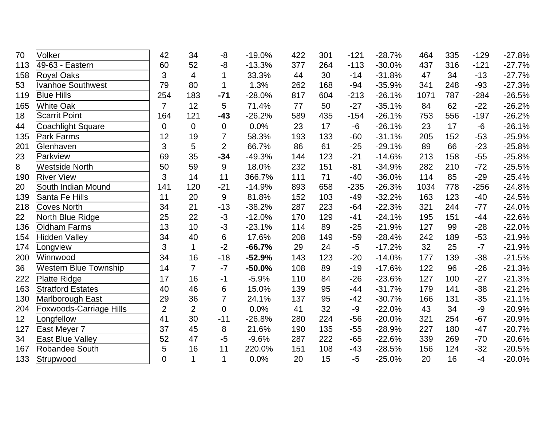| 70  | Volker                         | 42             | 34             | -8              | $-19.0%$ | 422 | 301 | $-121$ | $-28.7%$ | 464  | 335 | $-129$ | $-27.8%$ |
|-----|--------------------------------|----------------|----------------|-----------------|----------|-----|-----|--------|----------|------|-----|--------|----------|
| 113 | 49-63 - Eastern                | 60             | 52             | -8              | $-13.3%$ | 377 | 264 | $-113$ | $-30.0%$ | 437  | 316 | $-121$ | $-27.7%$ |
| 158 | <b>Royal Oaks</b>              | 3              | $\overline{4}$ | 1               | 33.3%    | 44  | 30  | $-14$  | $-31.8%$ | 47   | 34  | $-13$  | $-27.7%$ |
| 53  | <b>Ivanhoe Southwest</b>       | 79             | 80             | 1               | 1.3%     | 262 | 168 | $-94$  | $-35.9%$ | 341  | 248 | $-93$  | $-27.3%$ |
| 119 | <b>Blue Hills</b>              | 254            | 183            | $-71$           | $-28.0%$ | 817 | 604 | $-213$ | $-26.1%$ | 1071 | 787 | $-284$ | $-26.5%$ |
| 165 | <b>White Oak</b>               | $\overline{7}$ | 12             | 5               | 71.4%    | 77  | 50  | $-27$  | $-35.1%$ | 84   | 62  | $-22$  | $-26.2%$ |
| 18  | <b>Scarrit Point</b>           | 164            | 121            | $-43$           | $-26.2%$ | 589 | 435 | $-154$ | $-26.1%$ | 753  | 556 | $-197$ | $-26.2%$ |
| 44  | <b>Coachlight Square</b>       | 0              | $\overline{0}$ | $\mathbf 0$     | 0.0%     | 23  | 17  | -6     | $-26.1%$ | 23   | 17  | $-6$   | $-26.1%$ |
| 135 | Park Farms                     | 12             | 19             | $\overline{7}$  | 58.3%    | 193 | 133 | $-60$  | $-31.1%$ | 205  | 152 | $-53$  | $-25.9%$ |
| 201 | Glenhaven                      | 3              | 5              | $\overline{2}$  | 66.7%    | 86  | 61  | $-25$  | $-29.1%$ | 89   | 66  | $-23$  | $-25.8%$ |
| 23  | Parkview                       | 69             | 35             | $-34$           | $-49.3%$ | 144 | 123 | $-21$  | $-14.6%$ | 213  | 158 | $-55$  | $-25.8%$ |
| 8   | <b>Westside North</b>          | 50             | 59             | 9               | 18.0%    | 232 | 151 | $-81$  | $-34.9%$ | 282  | 210 | $-72$  | $-25.5%$ |
| 190 | <b>River View</b>              | 3              | 14             | 11              | 366.7%   | 111 | 71  | $-40$  | $-36.0%$ | 114  | 85  | $-29$  | $-25.4%$ |
| 20  | South Indian Mound             | 141            | 120            | $-21$           | $-14.9%$ | 893 | 658 | $-235$ | $-26.3%$ | 1034 | 778 | $-256$ | $-24.8%$ |
| 139 | Santa Fe Hills                 | 11             | 20             | 9               | 81.8%    | 152 | 103 | $-49$  | $-32.2%$ | 163  | 123 | $-40$  | $-24.5%$ |
| 218 | <b>Coves North</b>             | 34             | 21             | $-13$           | $-38.2%$ | 287 | 223 | $-64$  | $-22.3%$ | 321  | 244 | $-77$  | $-24.0%$ |
| 22  | North Blue Ridge               | 25             | 22             | $-3$            | $-12.0%$ | 170 | 129 | $-41$  | $-24.1%$ | 195  | 151 | $-44$  | $-22.6%$ |
| 136 | <b>Oldham Farms</b>            | 13             | 10             | $-3$            | $-23.1%$ | 114 | 89  | $-25$  | $-21.9%$ | 127  | 99  | $-28$  | $-22.0%$ |
| 154 | <b>Hidden Valley</b>           | 34             | 40             | $\,6$           | 17.6%    | 208 | 149 | $-59$  | $-28.4%$ | 242  | 189 | $-53$  | $-21.9%$ |
| 174 | Longview                       | 3              | $\mathbf{1}$   | $-2$            | $-66.7%$ | 29  | 24  | $-5$   | $-17.2%$ | 32   | 25  | $-7$   | $-21.9%$ |
| 200 | Winnwood                       | 34             | 16             | $-18$           | $-52.9%$ | 143 | 123 | $-20$  | $-14.0%$ | 177  | 139 | $-38$  | $-21.5%$ |
| 36  | <b>Western Blue Township</b>   | 14             | $\overline{7}$ | $-7$            | $-50.0%$ | 108 | 89  | $-19$  | $-17.6%$ | 122  | 96  | $-26$  | $-21.3%$ |
| 222 | <b>Platte Ridge</b>            | 17             | 16             | $-1$            | $-5.9%$  | 110 | 84  | $-26$  | $-23.6%$ | 127  | 100 | $-27$  | $-21.3%$ |
| 163 | <b>Stratford Estates</b>       | 40             | 46             | $6\phantom{1}6$ | 15.0%    | 139 | 95  | $-44$  | $-31.7%$ | 179  | 141 | $-38$  | $-21.2%$ |
| 130 | <b>Marlborough East</b>        | 29             | 36             | $\overline{7}$  | 24.1%    | 137 | 95  | $-42$  | $-30.7%$ | 166  | 131 | $-35$  | $-21.1%$ |
| 204 | <b>Foxwoods-Carriage Hills</b> | $\overline{2}$ | $\overline{2}$ | $\overline{0}$  | 0.0%     | 41  | 32  | $-9$   | $-22.0%$ | 43   | 34  | $-9$   | $-20.9%$ |
| 12  | Longfellow                     | 41             | 30             | $-11$           | $-26.8%$ | 280 | 224 | $-56$  | $-20.0%$ | 321  | 254 | $-67$  | $-20.9%$ |
| 127 | East Meyer 7                   | 37             | 45             | 8               | 21.6%    | 190 | 135 | $-55$  | $-28.9%$ | 227  | 180 | $-47$  | $-20.7%$ |
| 34  | <b>East Blue Valley</b>        | 52             | 47             | $-5$            | $-9.6%$  | 287 | 222 | $-65$  | $-22.6%$ | 339  | 269 | $-70$  | $-20.6%$ |
| 167 | Robandee South                 | 5              | 16             | 11              | 220.0%   | 151 | 108 | $-43$  | $-28.5%$ | 156  | 124 | $-32$  | $-20.5%$ |
| 133 | Strupwood                      | $\overline{0}$ | $\mathbf{1}$   | $\mathbf{1}$    | 0.0%     | 20  | 15  | $-5$   | $-25.0%$ | 20   | 16  | $-4$   | $-20.0%$ |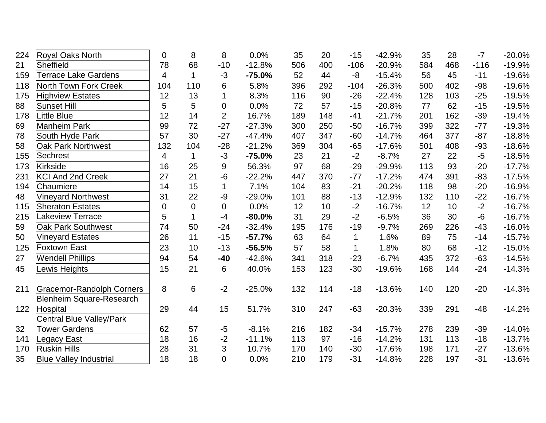| 224 | Royal Oaks North                            | 0   | 8              | 8                | 0.0%     | 35  | 20  | $-15$          | $-42.9%$ | 35  | 28  | $-7$   | $-20.0%$ |
|-----|---------------------------------------------|-----|----------------|------------------|----------|-----|-----|----------------|----------|-----|-----|--------|----------|
| 21  | Sheffield                                   | 78  | 68             | $-10$            | $-12.8%$ | 506 | 400 | $-106$         | $-20.9%$ | 584 | 468 | $-116$ | $-19.9%$ |
| 159 | <b>Terrace Lake Gardens</b>                 | 4   | $\mathbf{1}$   | $-3$             | $-75.0%$ | 52  | 44  | $-8$           | $-15.4%$ | 56  | 45  | $-11$  | $-19.6%$ |
| 118 | North Town Fork Creek                       | 104 | 110            | 6                | 5.8%     | 396 | 292 | $-104$         | $-26.3%$ | 500 | 402 | $-98$  | $-19.6%$ |
| 175 | <b>Highview Estates</b>                     | 12  | 13             | $\mathbf{1}$     | 8.3%     | 116 | 90  | $-26$          | $-22.4%$ | 128 | 103 | $-25$  | $-19.5%$ |
| 88  | <b>Sunset Hill</b>                          | 5   | 5              | $\overline{0}$   | 0.0%     | 72  | 57  | $-15$          | $-20.8%$ | 77  | 62  | $-15$  | $-19.5%$ |
| 178 | <b>Little Blue</b>                          | 12  | 14             | $\overline{2}$   | 16.7%    | 189 | 148 | $-41$          | $-21.7%$ | 201 | 162 | $-39$  | $-19.4%$ |
| 69  | <b>Manheim Park</b>                         | 99  | 72             | $-27$            | $-27.3%$ | 300 | 250 | $-50$          | $-16.7%$ | 399 | 322 | $-77$  | $-19.3%$ |
| 78  | South Hyde Park                             | 57  | 30             | $-27$            | $-47.4%$ | 407 | 347 | $-60$          | $-14.7%$ | 464 | 377 | $-87$  | $-18.8%$ |
| 58  | <b>Oak Park Northwest</b>                   | 132 | 104            | $-28$            | $-21.2%$ | 369 | 304 | $-65$          | $-17.6%$ | 501 | 408 | $-93$  | $-18.6%$ |
| 155 | Sechrest                                    | 4   | $\mathbf{1}$   | $-3$             | $-75.0%$ | 23  | 21  | $-2$           | $-8.7%$  | 27  | 22  | $-5$   | $-18.5%$ |
| 173 | <b>Kirkside</b>                             | 16  | 25             | 9                | 56.3%    | 97  | 68  | $-29$          | $-29.9%$ | 113 | 93  | $-20$  | $-17.7%$ |
| 231 | <b>KCI And 2nd Creek</b>                    | 27  | 21             | $-6$             | $-22.2%$ | 447 | 370 | $-77$          | $-17.2%$ | 474 | 391 | $-83$  | $-17.5%$ |
| 194 | Chaumiere                                   | 14  | 15             | $\mathbf 1$      | 7.1%     | 104 | 83  | $-21$          | $-20.2%$ | 118 | 98  | $-20$  | $-16.9%$ |
| 48  | <b>Vineyard Northwest</b>                   | 31  | 22             | -9               | $-29.0%$ | 101 | 88  | $-13$          | $-12.9%$ | 132 | 110 | $-22$  | $-16.7%$ |
| 115 | <b>Sheraton Estates</b>                     | 0   | $\overline{0}$ | $\mathbf 0$      | 0.0%     | 12  | 10  | $-2$           | $-16.7%$ | 12  | 10  | $-2$   | $-16.7%$ |
| 215 | Lakeview Terrace                            | 5   | $\mathbf{1}$   | $-4$             | $-80.0%$ | 31  | 29  | $-2$           | $-6.5%$  | 36  | 30  | $-6$   | $-16.7%$ |
| 59  | <b>Oak Park Southwest</b>                   | 74  | 50             | $-24$            | $-32.4%$ | 195 | 176 | $-19$          | $-9.7%$  | 269 | 226 | $-43$  | $-16.0%$ |
| 50  | <b>Vineyard Estates</b>                     | 26  | 11             | $-15$            | $-57.7%$ | 63  | 64  | $\mathbf 1$    | 1.6%     | 89  | 75  | $-14$  | $-15.7%$ |
| 125 | <b>Foxtown East</b>                         | 23  | 10             | $-13$            | $-56.5%$ | 57  | 58  | $\mathbf 1$    | 1.8%     | 80  | 68  | $-12$  | $-15.0%$ |
| 27  | <b>Wendell Phillips</b>                     | 94  | 54             | $-40$            | $-42.6%$ | 341 | 318 | $-23$          | $-6.7%$  | 435 | 372 | $-63$  | $-14.5%$ |
| 45  | Lewis Heights                               | 15  | 21             | 6                | 40.0%    | 153 | 123 | $-30$          | $-19.6%$ | 168 | 144 | $-24$  | $-14.3%$ |
| 211 | <b>Gracemor-Randolph Corners</b>            | 8   | 6              | $-2$             | $-25.0%$ | 132 | 114 | $-18$          | $-13.6%$ | 140 | 120 | $-20$  | $-14.3%$ |
|     | <b>Blenheim Square-Research</b>             |     |                |                  |          |     |     |                |          |     |     |        |          |
| 122 | Hospital<br><b>Central Blue Valley/Park</b> | 29  | 44             | 15               | 51.7%    | 310 | 247 | $-63$          | $-20.3%$ | 339 | 291 | $-48$  | $-14.2%$ |
| 32  | <b>Tower Gardens</b>                        | 62  | 57             | $-5$             | $-8.1%$  | 216 | 182 | $-34$          | $-15.7%$ | 278 | 239 | $-39$  | $-14.0%$ |
| 141 |                                             | 18  | 16             | $-2$             | $-11.1%$ | 113 | 97  | $-16$          | $-14.2%$ | 131 | 113 | $-18$  | $-13.7%$ |
|     | Legacy East<br><b>Ruskin Hills</b>          | 28  | 31             |                  | 10.7%    | 170 | 140 |                | $-17.6%$ | 198 | 171 | $-27$  | $-13.6%$ |
| 170 |                                             | 18  | 18             | 3<br>$\mathbf 0$ |          |     | 179 | $-30$<br>$-31$ |          | 228 | 197 | $-31$  |          |
| 35  | <b>Blue Valley Industrial</b>               |     |                |                  | 0.0%     | 210 |     |                | $-14.8%$ |     |     |        | $-13.6%$ |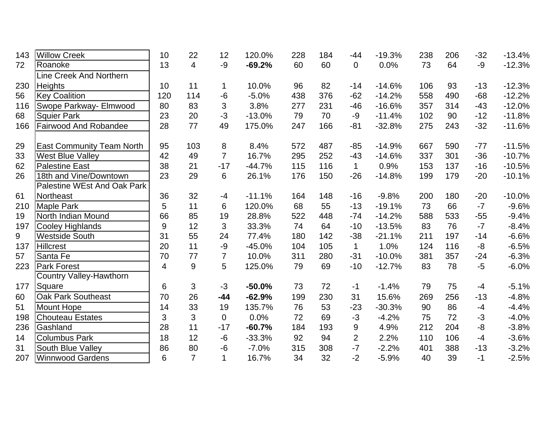| 143 | <b>Willow Creek</b>                | 10             | 22             | 12             | 120.0%   | 228 | 184 | $-44$          | $-19.3%$ | 238 | 206 | $-32$ | $-13.4%$ |
|-----|------------------------------------|----------------|----------------|----------------|----------|-----|-----|----------------|----------|-----|-----|-------|----------|
| 72  | Roanoke                            | 13             | 4              | -9             | $-69.2%$ | 60  | 60  | $\mathbf 0$    | 0.0%     | 73  | 64  | $-9$  | $-12.3%$ |
|     | Line Creek And Northern            |                |                |                |          |     |     |                |          |     |     |       |          |
| 230 | <b>Heights</b>                     | 10             | 11             | 1              | 10.0%    | 96  | 82  | $-14$          | $-14.6%$ | 106 | 93  | $-13$ | $-12.3%$ |
| 56  | <b>Key Coalition</b>               | 120            | 114            | $-6$           | $-5.0%$  | 438 | 376 | $-62$          | $-14.2%$ | 558 | 490 | $-68$ | $-12.2%$ |
| 116 | Swope Parkway- Elmwood             | 80             | 83             | 3              | 3.8%     | 277 | 231 | $-46$          | $-16.6%$ | 357 | 314 | $-43$ | $-12.0%$ |
| 68  | <b>Squier Park</b>                 | 23             | 20             | $-3$           | $-13.0%$ | 79  | 70  | $-9$           | $-11.4%$ | 102 | 90  | $-12$ | $-11.8%$ |
| 166 | Fairwood And Robandee              | 28             | 77             | 49             | 175.0%   | 247 | 166 | $-81$          | $-32.8%$ | 275 | 243 | $-32$ | $-11.6%$ |
| 29  | <b>East Community Team North</b>   | 95             | 103            | 8              | 8.4%     | 572 | 487 | $-85$          | $-14.9%$ | 667 | 590 | $-77$ | $-11.5%$ |
| 33  | <b>West Blue Valley</b>            | 42             | 49             | $\overline{7}$ | 16.7%    | 295 | 252 | $-43$          | $-14.6%$ | 337 | 301 | $-36$ | $-10.7%$ |
| 62  | <b>Palestine East</b>              | 38             | 21             | $-17$          | $-44.7%$ | 115 | 116 | $\mathbf{1}$   | 0.9%     | 153 | 137 | $-16$ | $-10.5%$ |
| 26  | 18th and Vine/Downtown             | 23             | 29             | 6              | 26.1%    | 176 | 150 | $-26$          | $-14.8%$ | 199 | 179 | $-20$ | $-10.1%$ |
|     | <b>Palestine WEst And Oak Park</b> |                |                |                |          |     |     |                |          |     |     |       |          |
| 61  | Northeast                          | 36             | 32             | $-4$           | $-11.1%$ | 164 | 148 | $-16$          | $-9.8%$  | 200 | 180 | $-20$ | $-10.0%$ |
| 210 | <b>Maple Park</b>                  | 5              | 11             | 6              | 120.0%   | 68  | 55  | $-13$          | $-19.1%$ | 73  | 66  | $-7$  | $-9.6%$  |
| 19  | North Indian Mound                 | 66             | 85             | 19             | 28.8%    | 522 | 448 | $-74$          | $-14.2%$ | 588 | 533 | $-55$ | $-9.4%$  |
| 197 | Cooley Highlands                   | 9              | 12             | 3              | 33.3%    | 74  | 64  | $-10$          | $-13.5%$ | 83  | 76  | $-7$  | $-8.4%$  |
| 9   | <b>Westside South</b>              | 31             | 55             | 24             | 77.4%    | 180 | 142 | $-38$          | $-21.1%$ | 211 | 197 | $-14$ | $-6.6%$  |
| 137 | <b>Hillcrest</b>                   | 20             | 11             | -9             | $-45.0%$ | 104 | 105 | $\mathbf{1}$   | 1.0%     | 124 | 116 | $-8$  | $-6.5%$  |
| 57  | Santa Fe                           | 70             | 77             | $\overline{7}$ | 10.0%    | 311 | 280 | $-31$          | $-10.0%$ | 381 | 357 | $-24$ | $-6.3%$  |
| 223 | <b>Park Forest</b>                 | $\overline{4}$ | 9              | 5              | 125.0%   | 79  | 69  | $-10$          | $-12.7%$ | 83  | 78  | $-5$  | $-6.0%$  |
|     | Country Valley-Hawthorn            |                |                |                |          |     |     |                |          |     |     |       |          |
| 177 | Square                             | 6              | 3              | $-3$           | $-50.0%$ | 73  | 72  | $-1$           | $-1.4%$  | 79  | 75  | $-4$  | $-5.1%$  |
| 60  | <b>Oak Park Southeast</b>          | 70             | 26             | $-44$          | $-62.9%$ | 199 | 230 | 31             | 15.6%    | 269 | 256 | $-13$ | $-4.8%$  |
| 51  | <b>Mount Hope</b>                  | 14             | 33             | 19             | 135.7%   | 76  | 53  | $-23$          | $-30.3%$ | 90  | 86  | $-4$  | $-4.4%$  |
| 198 | <b>Chouteau Estates</b>            | 3              | 3              | $\mathbf 0$    | 0.0%     | 72  | 69  | $-3$           | $-4.2%$  | 75  | 72  | $-3$  | $-4.0%$  |
| 236 | Gashland                           | 28             | 11             | $-17$          | $-60.7%$ | 184 | 193 | 9              | 4.9%     | 212 | 204 | $-8$  | $-3.8%$  |
| 14  | <b>Columbus Park</b>               | 18             | 12             | $-6$           | $-33.3%$ | 92  | 94  | $\overline{2}$ | 2.2%     | 110 | 106 | $-4$  | $-3.6%$  |
| 31  | South Blue Valley                  | 86             | 80             | $-6$           | $-7.0%$  | 315 | 308 | $-7$           | $-2.2%$  | 401 | 388 | $-13$ | $-3.2%$  |
| 207 | <b>Winnwood Gardens</b>            | 6              | $\overline{7}$ | $\mathbf 1$    | 16.7%    | 34  | 32  | $-2$           | $-5.9%$  | 40  | 39  | $-1$  | $-2.5%$  |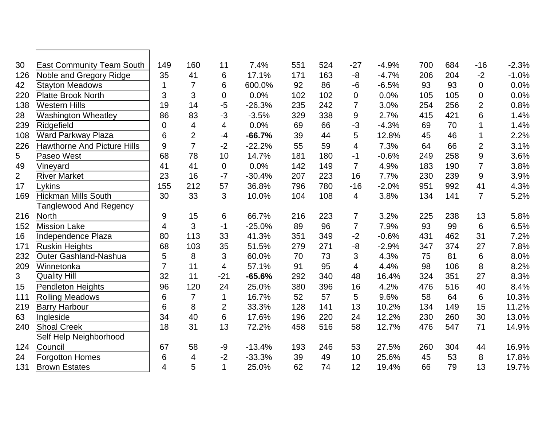| 30             | <b>East Community Team South</b>   | 149              | 160            | 11               | 7.4%     | 551 | 524 | $-27$                    | $-4.9%$ | 700 | 684 | $-16$          | $-2.3%$ |
|----------------|------------------------------------|------------------|----------------|------------------|----------|-----|-----|--------------------------|---------|-----|-----|----------------|---------|
| 126            | Noble and Gregory Ridge            | 35               | 41             | 6                | 17.1%    | 171 | 163 | $-8$                     | $-4.7%$ | 206 | 204 | $-2$           | $-1.0%$ |
| 42             | <b>Stayton Meadows</b>             | 1                | $\overline{7}$ | 6                | 600.0%   | 92  | 86  | $-6$                     | $-6.5%$ | 93  | 93  | $\mathbf 0$    | 0.0%    |
| 220            | <b>Platte Brook North</b>          | 3                | 3              | $\pmb{0}$        | 0.0%     | 102 | 102 | $\mathbf 0$              | 0.0%    | 105 | 105 | $\mathbf 0$    | 0.0%    |
| 138            | <b>Western Hills</b>               | 19               | 14             | $-5$             | $-26.3%$ | 235 | 242 | $\overline{7}$           | 3.0%    | 254 | 256 | $\overline{2}$ | 0.8%    |
| 28             | <b>Washington Wheatley</b>         | 86               | 83             | $-3$             | $-3.5%$  | 329 | 338 | $9\,$                    | 2.7%    | 415 | 421 | 6              | 1.4%    |
| 239            | Ridgefield                         | $\mathbf 0$      | 4              | 4                | 0.0%     | 69  | 66  | $-3$                     | $-4.3%$ | 69  | 70  |                | 1.4%    |
| 108            | <b>Ward Parkway Plaza</b>          | 6                | $\overline{2}$ | $-4$             | $-66.7%$ | 39  | 44  | 5                        | 12.8%   | 45  | 46  | 1              | 2.2%    |
| 226            | <b>Hawthorne And Picture Hills</b> | 9                | $\overline{7}$ | $-2$             | $-22.2%$ | 55  | 59  | $\overline{\mathcal{A}}$ | 7.3%    | 64  | 66  | $\overline{2}$ | 3.1%    |
| 5              | Paseo West                         | 68               | 78             | 10               | 14.7%    | 181 | 180 | $-1$                     | $-0.6%$ | 249 | 258 | 9              | 3.6%    |
| 49             | Vineyard                           | 41               | 41             | $\boldsymbol{0}$ | 0.0%     | 142 | 149 | $\overline{7}$           | 4.9%    | 183 | 190 | $\overline{7}$ | 3.8%    |
| $\overline{2}$ | <b>River Market</b>                | 23               | 16             | $-7$             | $-30.4%$ | 207 | 223 | 16                       | 7.7%    | 230 | 239 | $9$            | 3.9%    |
| 17             | Lykins                             | 155              | 212            | 57               | 36.8%    | 796 | 780 | $-16$                    | $-2.0%$ | 951 | 992 | 41             | 4.3%    |
| 169            | <b>Hickman Mills South</b>         | 30               | 33             | 3                | 10.0%    | 104 | 108 | $\overline{4}$           | 3.8%    | 134 | 141 | $\overline{7}$ | 5.2%    |
|                | <b>Tanglewood And Regency</b>      |                  |                |                  |          |     |     |                          |         |     |     |                |         |
| 216            | <b>North</b>                       | $\boldsymbol{9}$ | 15             | 6                | 66.7%    | 216 | 223 | $\overline{7}$           | 3.2%    | 225 | 238 | 13             | 5.8%    |
| 152            | <b>Mission Lake</b>                | $\overline{4}$   | 3              | $-1$             | $-25.0%$ | 89  | 96  | $\overline{7}$           | 7.9%    | 93  | 99  | 6              | 6.5%    |
| 16             | Independence Plaza                 | 80               | 113            | 33               | 41.3%    | 351 | 349 | $-2$                     | $-0.6%$ | 431 | 462 | 31             | 7.2%    |
| 171            | <b>Ruskin Heights</b>              | 68               | 103            | 35               | 51.5%    | 279 | 271 | $-8$                     | $-2.9%$ | 347 | 374 | 27             | 7.8%    |
| 232            | Outer Gashland-Nashua              | 5                | 8              | 3                | 60.0%    | 70  | 73  | 3                        | 4.3%    | 75  | 81  | 6              | 8.0%    |
| 209            | Winnetonka                         | $\overline{7}$   | 11             | 4                | 57.1%    | 91  | 95  | $\overline{\mathcal{A}}$ | 4.4%    | 98  | 106 | 8              | 8.2%    |
| 3              | Quality Hill                       | 32               | 11             | $-21$            | $-65.6%$ | 292 | 340 | 48                       | 16.4%   | 324 | 351 | 27             | 8.3%    |
| 15             | <b>Pendleton Heights</b>           | 96               | 120            | 24               | 25.0%    | 380 | 396 | 16                       | 4.2%    | 476 | 516 | 40             | 8.4%    |
| 111            | <b>Rolling Meadows</b>             | 6                | $\overline{7}$ | $\mathbf 1$      | 16.7%    | 52  | 57  | 5                        | 9.6%    | 58  | 64  | 6              | 10.3%   |
| 219            | <b>Barry Harbour</b>               | 6                | 8              | $\overline{2}$   | 33.3%    | 128 | 141 | 13                       | 10.2%   | 134 | 149 | 15             | 11.2%   |
| 63             | Ingleside                          | 34               | 40             | 6                | 17.6%    | 196 | 220 | 24                       | 12.2%   | 230 | 260 | 30             | 13.0%   |
| 240            | <b>Shoal Creek</b>                 | 18               | 31             | 13               | 72.2%    | 458 | 516 | 58                       | 12.7%   | 476 | 547 | 71             | 14.9%   |
|                | Self Help Neighborhood             |                  |                |                  |          |     |     |                          |         |     |     |                |         |
| 124            | Council                            | 67               | 58             | $-9$             | $-13.4%$ | 193 | 246 | 53                       | 27.5%   | 260 | 304 | 44             | 16.9%   |
| 24             | <b>Forgotton Homes</b>             | 6                | $\overline{4}$ | $-2$             | $-33.3%$ | 39  | 49  | 10                       | 25.6%   | 45  | 53  | 8              | 17.8%   |
| 131            | <b>Brown Estates</b>               | $\overline{4}$   | 5              | $\mathbf{1}$     | 25.0%    | 62  | 74  | 12                       | 19.4%   | 66  | 79  | 13             | 19.7%   |
|                |                                    |                  |                |                  |          |     |     |                          |         |     |     |                |         |

Г